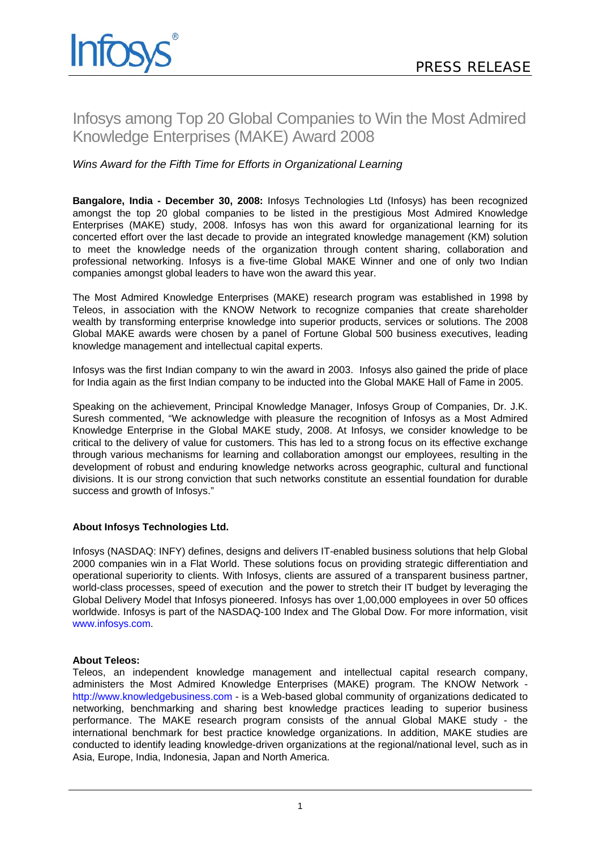# Infosys among Top 20 Global Companies to Win the Most Admired Knowledge Enterprises (MAKE) Award 2008

## *Wins Award for the Fifth Time for Efforts in Organizational Learning*

**Bangalore, India - December 30, 2008:** Infosys Technologies Ltd (Infosys) has been recognized amongst the top 20 global companies to be listed in the prestigious Most Admired Knowledge Enterprises (MAKE) study, 2008. Infosys has won this award for organizational learning for its concerted effort over the last decade to provide an integrated knowledge management (KM) solution to meet the knowledge needs of the organization through content sharing, collaboration and professional networking. Infosys is a five-time Global MAKE Winner and one of only two Indian companies amongst global leaders to have won the award this year.

The Most Admired Knowledge Enterprises (MAKE) research program was established in 1998 by Teleos, in association with the KNOW Network to recognize companies that create shareholder wealth by transforming enterprise knowledge into superior products, services or solutions. The 2008 Global MAKE awards were chosen by a panel of Fortune Global 500 business executives, leading knowledge management and intellectual capital experts.

Infosys was the first Indian company to win the award in 2003. Infosys also gained the pride of place for India again as the first Indian company to be inducted into the Global MAKE Hall of Fame in 2005.

Speaking on the achievement, Principal Knowledge Manager, Infosys Group of Companies, Dr. J.K. Suresh commented, "We acknowledge with pleasure the recognition of Infosys as a Most Admired Knowledge Enterprise in the Global MAKE study, 2008. At Infosys, we consider knowledge to be critical to the delivery of value for customers. This has led to a strong focus on its effective exchange through various mechanisms for learning and collaboration amongst our employees, resulting in the development of robust and enduring knowledge networks across geographic, cultural and functional divisions. It is our strong conviction that such networks constitute an essential foundation for durable success and growth of Infosys."

### **About Infosys Technologies Ltd.**

Infosys (NASDAQ: INFY) defines, designs and delivers IT-enabled business solutions that help Global 2000 companies win in a Flat World. These solutions focus on providing strategic differentiation and operational superiority to clients. With Infosys, clients are assured of a transparent business partner, world-class processes, speed of execution and the power to stretch their IT budget by leveraging the Global Delivery Model that Infosys pioneered. Infosys has over 1,00,000 employees in over 50 offices worldwide. Infosys is part of the NASDAQ-100 Index and The Global Dow. For more information, visit [www.infosys.com](http://www.infosys.com/).

#### **About Teleos:**

Teleos, an independent knowledge management and intellectual capital research company, administers the Most Admired Knowledge Enterprises (MAKE) program. The KNOW Network [http://www.knowledgebusiness.com](http://www.knowledgebusiness.com/) - is a Web-based global community of organizations dedicated to networking, benchmarking and sharing best knowledge practices leading to superior business performance. The MAKE research program consists of the annual Global MAKE study - the international benchmark for best practice knowledge organizations. In addition, MAKE studies are conducted to identify leading knowledge-driven organizations at the regional/national level, such as in Asia, Europe, India, Indonesia, Japan and North America.